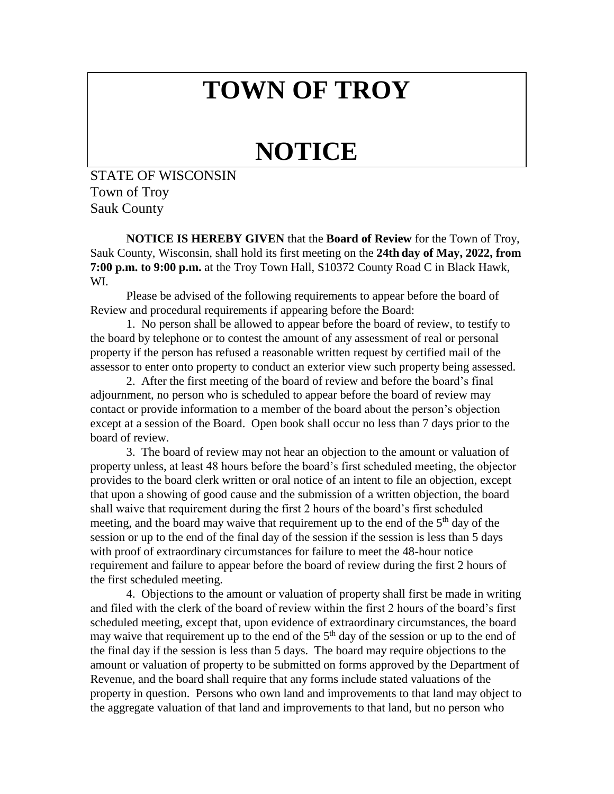## **TOWN OF TROY**

## **NOTICE**

STATE OF WISCONSIN Town of Troy Sauk County

**NOTICE IS HEREBY GIVEN** that the **Board of Review** for the Town of Troy, Sauk County, Wisconsin, shall hold its first meeting on the **24th day of May, 2022, from 7:00 p.m. to 9:00 p.m.** at the Troy Town Hall, S10372 County Road C in Black Hawk, WI.

Please be advised of the following requirements to appear before the board of Review and procedural requirements if appearing before the Board:

1. No person shall be allowed to appear before the board of review, to testify to the board by telephone or to contest the amount of any assessment of real or personal property if the person has refused a reasonable written request by certified mail of the assessor to enter onto property to conduct an exterior view such property being assessed.

2. After the first meeting of the board of review and before the board's final adjournment, no person who is scheduled to appear before the board of review may contact or provide information to a member of the board about the person's objection except at a session of the Board. Open book shall occur no less than 7 days prior to the board of review.

3. The board of review may not hear an objection to the amount or valuation of property unless, at least 48 hours before the board's first scheduled meeting, the objector provides to the board clerk written or oral notice of an intent to file an objection, except that upon a showing of good cause and the submission of a written objection, the board shall waive that requirement during the first 2 hours of the board's first scheduled meeting, and the board may waive that requirement up to the end of the  $5<sup>th</sup>$  day of the session or up to the end of the final day of the session if the session is less than 5 days with proof of extraordinary circumstances for failure to meet the 48-hour notice requirement and failure to appear before the board of review during the first 2 hours of the first scheduled meeting.

4. Objections to the amount or valuation of property shall first be made in writing and filed with the clerk of the board of review within the first 2 hours of the board's first scheduled meeting, except that, upon evidence of extraordinary circumstances, the board may waive that requirement up to the end of the  $5<sup>th</sup>$  day of the session or up to the end of the final day if the session is less than 5 days. The board may require objections to the amount or valuation of property to be submitted on forms approved by the Department of Revenue, and the board shall require that any forms include stated valuations of the property in question. Persons who own land and improvements to that land may object to the aggregate valuation of that land and improvements to that land, but no person who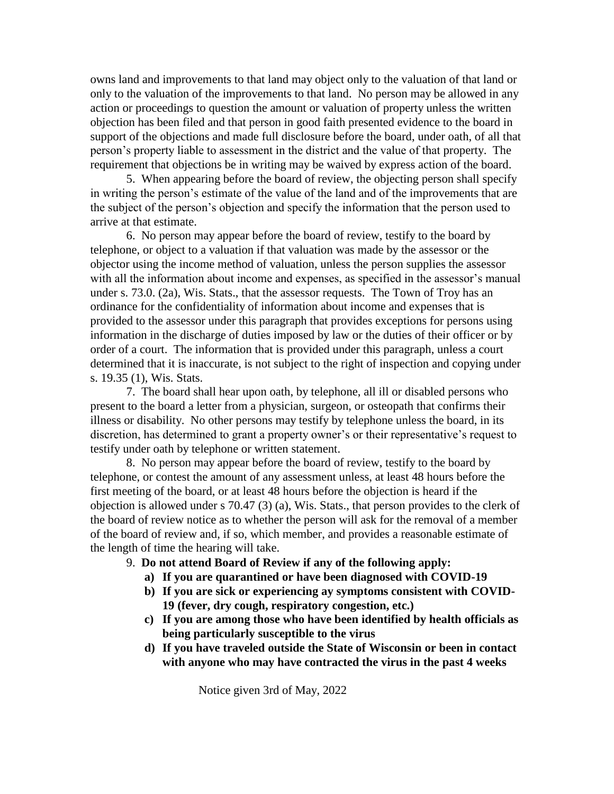owns land and improvements to that land may object only to the valuation of that land or only to the valuation of the improvements to that land. No person may be allowed in any action or proceedings to question the amount or valuation of property unless the written objection has been filed and that person in good faith presented evidence to the board in support of the objections and made full disclosure before the board, under oath, of all that person's property liable to assessment in the district and the value of that property. The requirement that objections be in writing may be waived by express action of the board.

5. When appearing before the board of review, the objecting person shall specify in writing the person's estimate of the value of the land and of the improvements that are the subject of the person's objection and specify the information that the person used to arrive at that estimate.

6. No person may appear before the board of review, testify to the board by telephone, or object to a valuation if that valuation was made by the assessor or the objector using the income method of valuation, unless the person supplies the assessor with all the information about income and expenses, as specified in the assessor's manual under s. 73.0. (2a), Wis. Stats., that the assessor requests. The Town of Troy has an ordinance for the confidentiality of information about income and expenses that is provided to the assessor under this paragraph that provides exceptions for persons using information in the discharge of duties imposed by law or the duties of their officer or by order of a court. The information that is provided under this paragraph, unless a court determined that it is inaccurate, is not subject to the right of inspection and copying under s. 19.35 (1), Wis. Stats.

7. The board shall hear upon oath, by telephone, all ill or disabled persons who present to the board a letter from a physician, surgeon, or osteopath that confirms their illness or disability. No other persons may testify by telephone unless the board, in its discretion, has determined to grant a property owner's or their representative's request to testify under oath by telephone or written statement.

8. No person may appear before the board of review, testify to the board by telephone, or contest the amount of any assessment unless, at least 48 hours before the first meeting of the board, or at least 48 hours before the objection is heard if the objection is allowed under s 70.47 (3) (a), Wis. Stats., that person provides to the clerk of the board of review notice as to whether the person will ask for the removal of a member of the board of review and, if so, which member, and provides a reasonable estimate of the length of time the hearing will take.

9. **Do not attend Board of Review if any of the following apply:**

- **a) If you are quarantined or have been diagnosed with COVID-19**
- **b) If you are sick or experiencing ay symptoms consistent with COVID-19 (fever, dry cough, respiratory congestion, etc.)**
- **c) If you are among those who have been identified by health officials as being particularly susceptible to the virus**
- **d) If you have traveled outside the State of Wisconsin or been in contact with anyone who may have contracted the virus in the past 4 weeks**

Notice given 3rd of May, 2022